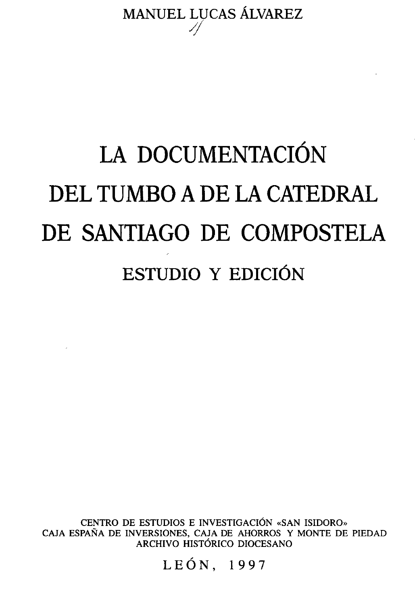MANUEL LUCAS ÁLVAREZ

## **LA DOCUMENTACIÓN DEL TUMBO A DE LA CATEDRAL DE SANTIAGO DE COMPOSTELA ESTUDIO Y EDICIÓN**

CENTRO DE ESTUDIOS E INVESTIGACIÓN «SAN ISIDORO» CAJA ESPAÑA DE INVERSIONES, CAJA DE AHORROS Y MONTE DE PIEDAD ARCHIVO HISTÓRICO DIOCESANO

LEÓN, 1997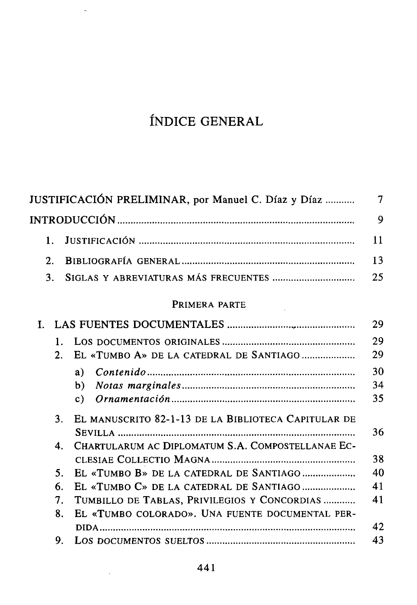## ÍNDICE GENERAL

 $\overline{a}$ 

| JUSTIFICACIÓN PRELIMINAR, por Manuel C. Díaz y Díaz                   | 7  |
|-----------------------------------------------------------------------|----|
|                                                                       | 9  |
| 1.                                                                    | 11 |
| $\mathfrak{2}$ .                                                      | 13 |
| 3.                                                                    | 25 |
| PRIMERA PARTE                                                         |    |
| $\mathbf{I}$                                                          | 29 |
| $\mathbf{1}$ .                                                        | 29 |
| 2.<br>EL «TUMBO A» DE LA CATEDRAL DE SANTIAGO                         | 29 |
| a)                                                                    | 30 |
| b)                                                                    | 34 |
| c)                                                                    | 35 |
| EL MANUSCRITO 82-1-13 DE LA BIBLIOTECA CAPITULAR DE<br>3 <sub>1</sub> |    |
|                                                                       | 36 |
| CHARTULARUM AC DIPLOMATUM S.A. COMPOSTELLANAE EC-<br>4.               |    |
|                                                                       | 38 |
| EL «TUMBO B» DE LA CATEDRAL DE SANTIAGO<br>5.                         | 40 |
| 6.<br>EL «TUMBO C» DE LA CATEDRAL DE SANTIAGO                         | 41 |
| TUMBILLO DE TABLAS, PRIVILEGIOS Y CONCORDIAS<br>7.                    | 41 |
| EL «TUMBO COLORADO». UNA FUENTE DOCUMENTAL PER-<br>8.                 |    |
|                                                                       | 42 |
| 9.                                                                    | 43 |